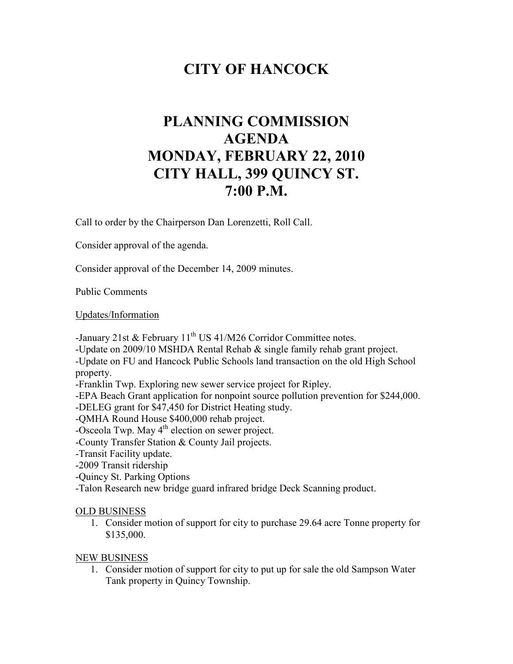## **CITY OF HANCOCK**

# **PLANNING COMMISSION AGENDA MONDAY, FEBRUARY 22, 2010 CITY HALL, 399 QUINCY ST. 7:00 P.M.**

Call to order by the Chairperson Dan Lorenzetti, Roll Call.

Consider approval of the agenda.

Consider approval of the December 14, 2009 minutes.

Public Comments

Updates/Information

-January 21st & February  $11<sup>th</sup> US 41/M26$  Corridor Committee notes.

-Update on 2009/10 MSHDA Rental Rehab & single family rehab grant project.

-Update on FU and Hancock Public Schools land transaction on the old High School property.

-Franklin Twp. Exploring new sewer service project for Ripley.

-EPA Beach Grant application for nonpoint source pollution prevention for \$244,000.

-DELEG grant for \$47,450 for District Heating study.

-QMHA Round House \$400,000 rehab project.

 $-$ Osceola Twp. May  $4<sup>th</sup>$  election on sewer project.

-County Transfer Station & County Jail projects.

-Transit Facility update.

-2009 Transit ridership

-Quincy St. Parking Options

-Talon Research new bridge guard infrared bridge Deck Scanning product.

#### OLD BUSINESS

1. Consider motion of support for city to purchase 29.64 acre Tonne property for \$135,000.

#### NEW BUSINESS

1. Consider motion of support for city to put up for sale the old Sampson Water Tank property in Quincy Township.